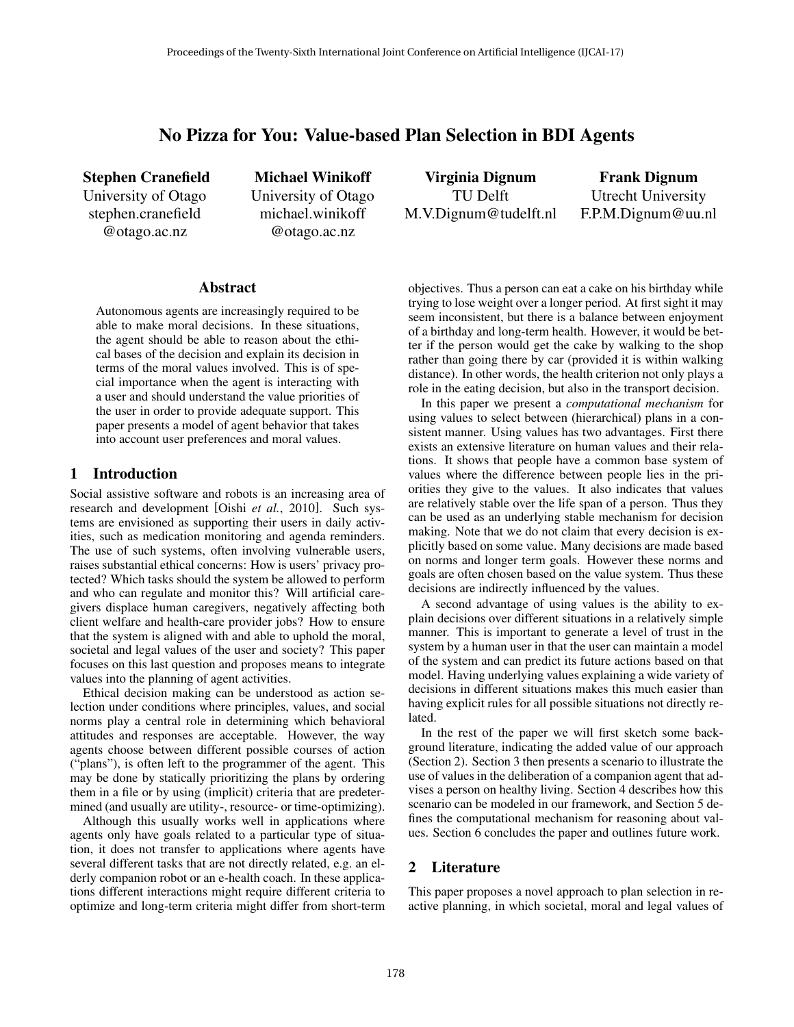# No Pizza for You: Value-based Plan Selection in BDI Agents

Stephen Cranefield University of Otago stephen.cranefield @otago.ac.nz

Michael Winikoff University of Otago michael.winikoff @otago.ac.nz

### Abstract

Autonomous agents are increasingly required to be able to make moral decisions. In these situations, the agent should be able to reason about the ethical bases of the decision and explain its decision in terms of the moral values involved. This is of special importance when the agent is interacting with a user and should understand the value priorities of the user in order to provide adequate support. This paper presents a model of agent behavior that takes into account user preferences and moral values.

# 1 Introduction

Social assistive software and robots is an increasing area of research and development [Oishi *et al.*, 2010]. Such systems are envisioned as supporting their users in daily activities, such as medication monitoring and agenda reminders. The use of such systems, often involving vulnerable users, raises substantial ethical concerns: How is users' privacy protected? Which tasks should the system be allowed to perform and who can regulate and monitor this? Will artificial caregivers displace human caregivers, negatively affecting both client welfare and health-care provider jobs? How to ensure that the system is aligned with and able to uphold the moral, societal and legal values of the user and society? This paper focuses on this last question and proposes means to integrate values into the planning of agent activities.

Ethical decision making can be understood as action selection under conditions where principles, values, and social norms play a central role in determining which behavioral attitudes and responses are acceptable. However, the way agents choose between different possible courses of action ("plans"), is often left to the programmer of the agent. This may be done by statically prioritizing the plans by ordering them in a file or by using (implicit) criteria that are predetermined (and usually are utility-, resource- or time-optimizing).

Although this usually works well in applications where agents only have goals related to a particular type of situation, it does not transfer to applications where agents have several different tasks that are not directly related, e.g. an elderly companion robot or an e-health coach. In these applications different interactions might require different criteria to optimize and long-term criteria might differ from short-term

Virginia Dignum TU Delft M.V.Dignum@tudelft.nl

Frank Dignum Utrecht University F.P.M.Dignum@uu.nl

objectives. Thus a person can eat a cake on his birthday while trying to lose weight over a longer period. At first sight it may seem inconsistent, but there is a balance between enjoyment of a birthday and long-term health. However, it would be better if the person would get the cake by walking to the shop rather than going there by car (provided it is within walking distance). In other words, the health criterion not only plays a role in the eating decision, but also in the transport decision.

In this paper we present a *computational mechanism* for using values to select between (hierarchical) plans in a consistent manner. Using values has two advantages. First there exists an extensive literature on human values and their relations. It shows that people have a common base system of values where the difference between people lies in the priorities they give to the values. It also indicates that values are relatively stable over the life span of a person. Thus they can be used as an underlying stable mechanism for decision making. Note that we do not claim that every decision is explicitly based on some value. Many decisions are made based on norms and longer term goals. However these norms and goals are often chosen based on the value system. Thus these decisions are indirectly influenced by the values.

A second advantage of using values is the ability to explain decisions over different situations in a relatively simple manner. This is important to generate a level of trust in the system by a human user in that the user can maintain a model of the system and can predict its future actions based on that model. Having underlying values explaining a wide variety of decisions in different situations makes this much easier than having explicit rules for all possible situations not directly related.

In the rest of the paper we will first sketch some background literature, indicating the added value of our approach (Section 2). Section 3 then presents a scenario to illustrate the use of values in the deliberation of a companion agent that advises a person on healthy living. Section 4 describes how this scenario can be modeled in our framework, and Section 5 defines the computational mechanism for reasoning about values. Section 6 concludes the paper and outlines future work.

### 2 Literature

This paper proposes a novel approach to plan selection in reactive planning, in which societal, moral and legal values of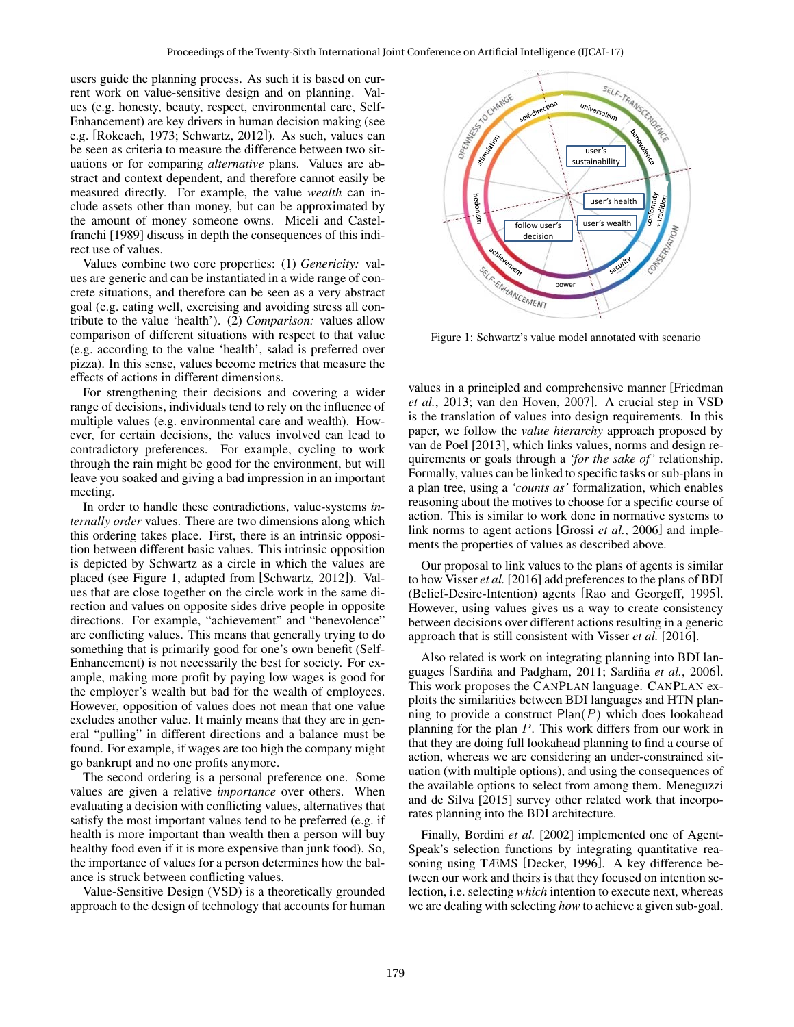users guide the planning process. As such it is based on current work on value-sensitive design and on planning. Values (e.g. honesty, beauty, respect, environmental care, Self-Enhancement) are key drivers in human decision making (see e.g. [Rokeach, 1973; Schwartz, 2012]). As such, values can be seen as criteria to measure the difference between two situations or for comparing *alternative* plans. Values are abstract and context dependent, and therefore cannot easily be measured directly. For example, the value *wealth* can include assets other than money, but can be approximated by the amount of money someone owns. Miceli and Castelfranchi [1989] discuss in depth the consequences of this indirect use of values.

Values combine two core properties: (1) *Genericity:* values are generic and can be instantiated in a wide range of concrete situations, and therefore can be seen as a very abstract goal (e.g. eating well, exercising and avoiding stress all contribute to the value 'health'). (2) *Comparison:* values allow comparison of different situations with respect to that value (e.g. according to the value 'health', salad is preferred over pizza). In this sense, values become metrics that measure the effects of actions in different dimensions.

For strengthening their decisions and covering a wider range of decisions, individuals tend to rely on the influence of multiple values (e.g. environmental care and wealth). However, for certain decisions, the values involved can lead to contradictory preferences. For example, cycling to work through the rain might be good for the environment, but will leave you soaked and giving a bad impression in an important meeting.

In order to handle these contradictions, value-systems *internally order* values. There are two dimensions along which this ordering takes place. First, there is an intrinsic opposition between different basic values. This intrinsic opposition is depicted by Schwartz as a circle in which the values are placed (see Figure 1, adapted from [Schwartz, 2012]). Values that are close together on the circle work in the same direction and values on opposite sides drive people in opposite directions. For example, "achievement" and "benevolence" are conflicting values. This means that generally trying to do something that is primarily good for one's own benefit (Self-Enhancement) is not necessarily the best for society. For example, making more profit by paying low wages is good for the employer's wealth but bad for the wealth of employees. However, opposition of values does not mean that one value excludes another value. It mainly means that they are in general "pulling" in different directions and a balance must be found. For example, if wages are too high the company might go bankrupt and no one profits anymore.

The second ordering is a personal preference one. Some values are given a relative *importance* over others. When evaluating a decision with conflicting values, alternatives that satisfy the most important values tend to be preferred (e.g. if health is more important than wealth then a person will buy healthy food even if it is more expensive than junk food). So, the importance of values for a person determines how the balance is struck between conflicting values.

Value-Sensitive Design (VSD) is a theoretically grounded approach to the design of technology that accounts for human



Figure 1: Schwartz's value model annotated with scenario

values in a principled and comprehensive manner [Friedman *et al.*, 2013; van den Hoven, 2007]. A crucial step in VSD is the translation of values into design requirements. In this paper, we follow the *value hierarchy* approach proposed by van de Poel [2013], which links values, norms and design requirements or goals through a *'for the sake of'* relationship. Formally, values can be linked to specific tasks or sub-plans in a plan tree, using a *'counts as'* formalization, which enables reasoning about the motives to choose for a specific course of action. This is similar to work done in normative systems to link norms to agent actions [Grossi *et al.*, 2006] and implements the properties of values as described above.

Our proposal to link values to the plans of agents is similar to how Visser *et al.* [2016] add preferences to the plans of BDI (Belief-Desire-Intention) agents [Rao and Georgeff, 1995]. However, using values gives us a way to create consistency between decisions over different actions resulting in a generic approach that is still consistent with Visser *et al.* [2016].

Also related is work on integrating planning into BDI languages [Sardiña and Padgham, 2011; Sardiña et al., 2006]. This work proposes the CANPLAN language. CANPLAN exploits the similarities between BDI languages and HTN planning to provide a construct  $Plan(P)$  which does lookahead planning for the plan P. This work differs from our work in that they are doing full lookahead planning to find a course of action, whereas we are considering an under-constrained situation (with multiple options), and using the consequences of the available options to select from among them. Meneguzzi and de Silva [2015] survey other related work that incorporates planning into the BDI architecture.

Finally, Bordini *et al.* [2002] implemented one of Agent-Speak's selection functions by integrating quantitative reasoning using TÆMS [Decker, 1996]. A key difference between our work and theirs is that they focused on intention selection, i.e. selecting *which* intention to execute next, whereas we are dealing with selecting *how* to achieve a given sub-goal.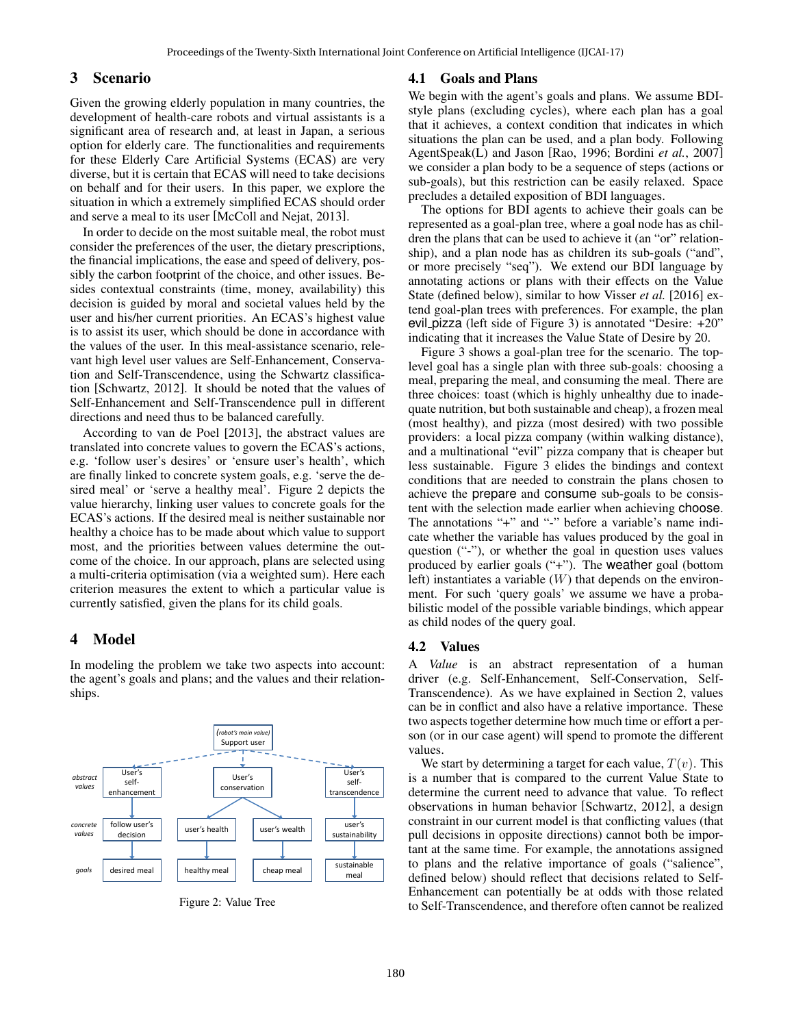# 3 Scenario

Given the growing elderly population in many countries, the development of health-care robots and virtual assistants is a significant area of research and, at least in Japan, a serious option for elderly care. The functionalities and requirements for these Elderly Care Artificial Systems (ECAS) are very diverse, but it is certain that ECAS will need to take decisions on behalf and for their users. In this paper, we explore the situation in which a extremely simplified ECAS should order and serve a meal to its user [McColl and Nejat, 2013].

In order to decide on the most suitable meal, the robot must consider the preferences of the user, the dietary prescriptions, the financial implications, the ease and speed of delivery, possibly the carbon footprint of the choice, and other issues. Besides contextual constraints (time, money, availability) this decision is guided by moral and societal values held by the user and his/her current priorities. An ECAS's highest value is to assist its user, which should be done in accordance with the values of the user. In this meal-assistance scenario, relevant high level user values are Self-Enhancement, Conservation and Self-Transcendence, using the Schwartz classification [Schwartz, 2012]. It should be noted that the values of Self-Enhancement and Self-Transcendence pull in different directions and need thus to be balanced carefully.

According to van de Poel [2013], the abstract values are translated into concrete values to govern the ECAS's actions, e.g. 'follow user's desires' or 'ensure user's health', which are finally linked to concrete system goals, e.g. 'serve the desired meal' or 'serve a healthy meal'. Figure 2 depicts the value hierarchy, linking user values to concrete goals for the ECAS's actions. If the desired meal is neither sustainable nor healthy a choice has to be made about which value to support most, and the priorities between values determine the outcome of the choice. In our approach, plans are selected using a multi-criteria optimisation (via a weighted sum). Here each criterion measures the extent to which a particular value is currently satisfied, given the plans for its child goals.

# 4 Model

In modeling the problem we take two aspects into account: the agent's goals and plans; and the values and their relationships.



Figure 2: Value Tree

#### 4.1 Goals and Plans

We begin with the agent's goals and plans. We assume BDIstyle plans (excluding cycles), where each plan has a goal that it achieves, a context condition that indicates in which situations the plan can be used, and a plan body. Following AgentSpeak(L) and Jason [Rao, 1996; Bordini *et al.*, 2007] we consider a plan body to be a sequence of steps (actions or sub-goals), but this restriction can be easily relaxed. Space precludes a detailed exposition of BDI languages.

The options for BDI agents to achieve their goals can be represented as a goal-plan tree, where a goal node has as children the plans that can be used to achieve it (an "or" relationship), and a plan node has as children its sub-goals ("and", or more precisely "seq"). We extend our BDI language by annotating actions or plans with their effects on the Value State (defined below), similar to how Visser *et al.* [2016] extend goal-plan trees with preferences. For example, the plan evil pizza (left side of Figure 3) is annotated "Desire: +20" indicating that it increases the Value State of Desire by 20.

Figure 3 shows a goal-plan tree for the scenario. The toplevel goal has a single plan with three sub-goals: choosing a meal, preparing the meal, and consuming the meal. There are three choices: toast (which is highly unhealthy due to inadequate nutrition, but both sustainable and cheap), a frozen meal (most healthy), and pizza (most desired) with two possible providers: a local pizza company (within walking distance), and a multinational "evil" pizza company that is cheaper but less sustainable. Figure 3 elides the bindings and context conditions that are needed to constrain the plans chosen to achieve the prepare and consume sub-goals to be consistent with the selection made earlier when achieving choose. The annotations "+" and "-" before a variable's name indicate whether the variable has values produced by the goal in question ("-"), or whether the goal in question uses values produced by earlier goals ("+"). The weather goal (bottom left) instantiates a variable  $(W)$  that depends on the environment. For such 'query goals' we assume we have a probabilistic model of the possible variable bindings, which appear as child nodes of the query goal.

#### 4.2 Values

A *Value* is an abstract representation of a human driver (e.g. Self-Enhancement, Self-Conservation, Self-Transcendence). As we have explained in Section 2, values can be in conflict and also have a relative importance. These two aspects together determine how much time or effort a person (or in our case agent) will spend to promote the different values.

We start by determining a target for each value,  $T(v)$ . This is a number that is compared to the current Value State to determine the current need to advance that value. To reflect observations in human behavior [Schwartz, 2012], a design constraint in our current model is that conflicting values (that pull decisions in opposite directions) cannot both be important at the same time. For example, the annotations assigned to plans and the relative importance of goals ("salience", defined below) should reflect that decisions related to Self-Enhancement can potentially be at odds with those related to Self-Transcendence, and therefore often cannot be realized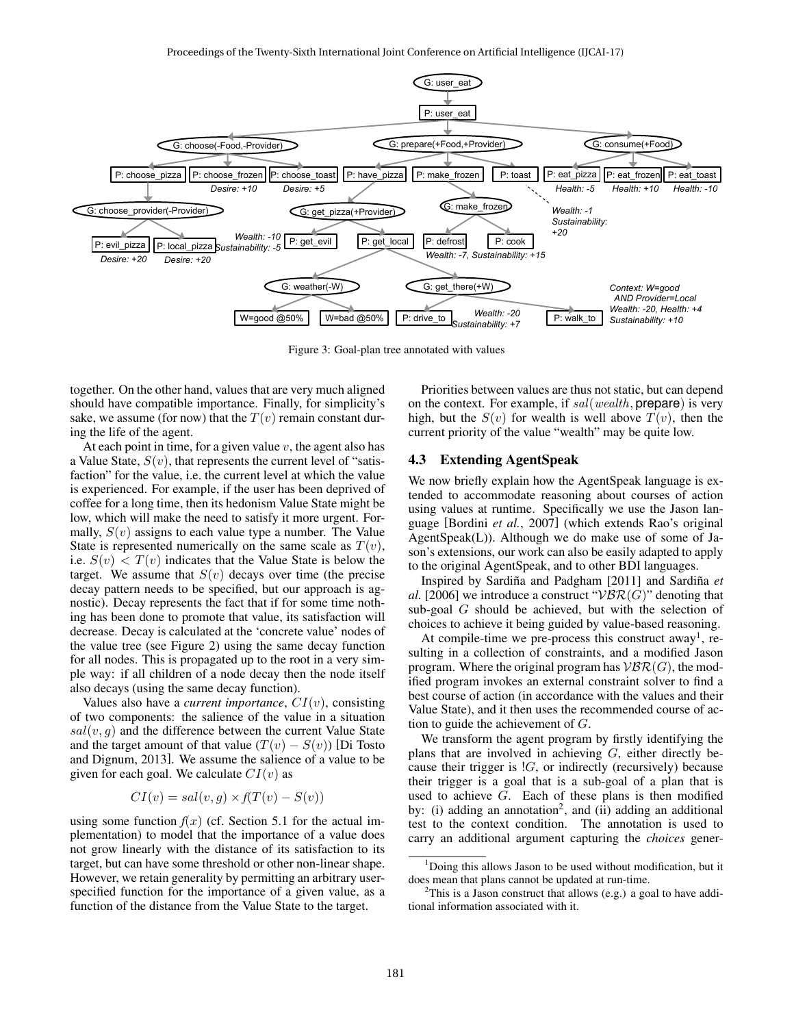

Figure 3: Goal-plan tree annotated with values

together. On the other hand, values that are very much aligned should have compatible importance. Finally, for simplicity's sake, we assume (for now) that the  $T(v)$  remain constant during the life of the agent.

At each point in time, for a given value  $v$ , the agent also has a Value State,  $S(v)$ , that represents the current level of "satisfaction" for the value, i.e. the current level at which the value is experienced. For example, if the user has been deprived of coffee for a long time, then its hedonism Value State might be low, which will make the need to satisfy it more urgent. Formally,  $S(v)$  assigns to each value type a number. The Value State is represented numerically on the same scale as  $T(v)$ , i.e.  $S(v) < T(v)$  indicates that the Value State is below the target. We assume that  $S(v)$  decays over time (the precise decay pattern needs to be specified, but our approach is agnostic). Decay represents the fact that if for some time nothing has been done to promote that value, its satisfaction will decrease. Decay is calculated at the 'concrete value' nodes of the value tree (see Figure 2) using the same decay function for all nodes. This is propagated up to the root in a very simple way: if all children of a node decay then the node itself also decays (using the same decay function).

Values also have a *current importance*, CI(v), consisting of two components: the salience of the value in a situation  $sal(v, q)$  and the difference between the current Value State and the target amount of that value  $(T(v) - S(v))$  [Di Tosto and Dignum, 2013]. We assume the salience of a value to be given for each goal. We calculate  $CI(v)$  as

$$
CI(v) = sal(v, g) \times f(T(v) - S(v))
$$

using some function  $f(x)$  (cf. Section 5.1 for the actual implementation) to model that the importance of a value does not grow linearly with the distance of its satisfaction to its target, but can have some threshold or other non-linear shape. However, we retain generality by permitting an arbitrary userspecified function for the importance of a given value, as a function of the distance from the Value State to the target.

Priorities between values are thus not static, but can depend on the context. For example, if sal(wealth, prepare) is very high, but the  $S(v)$  for wealth is well above  $T(v)$ , then the current priority of the value "wealth" may be quite low.

#### 4.3 Extending AgentSpeak

We now briefly explain how the AgentSpeak language is extended to accommodate reasoning about courses of action using values at runtime. Specifically we use the Jason language [Bordini *et al.*, 2007] (which extends Rao's original AgentSpeak(L)). Although we do make use of some of Jason's extensions, our work can also be easily adapted to apply to the original AgentSpeak, and to other BDI languages.

Inspired by Sardiña and Padgham [2011] and Sardiña et *al.* [2006] we introduce a construct " $VBR(G)$ " denoting that sub-goal G should be achieved, but with the selection of choices to achieve it being guided by value-based reasoning.

At compile-time we pre-process this construct away<sup>1</sup>, resulting in a collection of constraints, and a modified Jason program. Where the original program has  $\mathcal{VBR}(G)$ , the modified program invokes an external constraint solver to find a best course of action (in accordance with the values and their Value State), and it then uses the recommended course of action to guide the achievement of  $G$ .

We transform the agent program by firstly identifying the plans that are involved in achieving  $G$ , either directly because their trigger is  $!G$ , or indirectly (recursively) because their trigger is a goal that is a sub-goal of a plan that is used to achieve  $G$ . Each of these plans is then modified by: (i) adding an annotation<sup>2</sup>, and (ii) adding an additional test to the context condition. The annotation is used to carry an additional argument capturing the *choices* gener-

<sup>&</sup>lt;sup>1</sup>Doing this allows Jason to be used without modification, but it does mean that plans cannot be updated at run-time.

 $2$ This is a Jason construct that allows (e.g.) a goal to have additional information associated with it.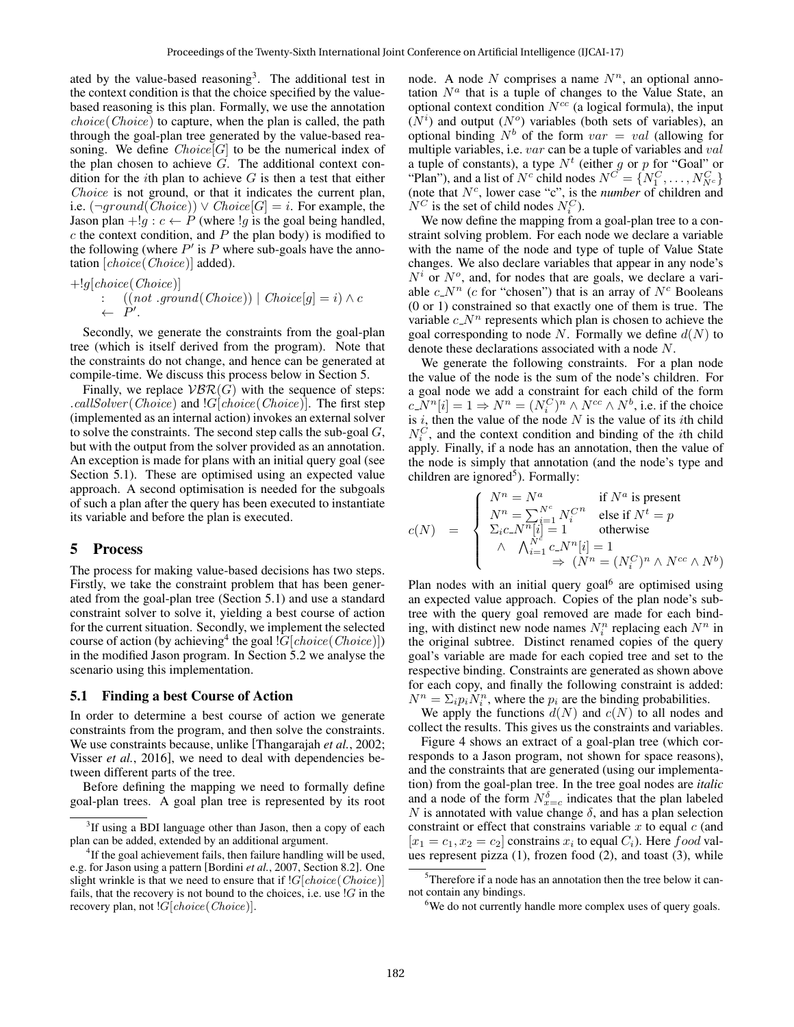ated by the value-based reasoning<sup>3</sup>. The additional test in the context condition is that the choice specified by the valuebased reasoning is this plan. Formally, we use the annotation choice(Choice) to capture, when the plan is called, the path through the goal-plan tree generated by the value-based reasoning. We define  $Choice[G]$  to be the numerical index of the plan chosen to achieve  $G$ . The additional context condition for the *i*th plan to achieve  $G$  is then a test that either Choice is not ground, or that it indicates the current plan, i.e.  $(\neg ground(Choice)) \vee Choice[G] = i$ . For example, the Jason plan +!g :  $c \leftarrow P$  (where !g is the goal being handled,  $c$  the context condition, and  $P$  the plan body) is modified to the following (where  $P'$  is P where sub-goals have the annotation [choice(Choice)] added).

 $+!g[choice(Choice)]$ :  $((not \; ground(Choice)) | Choice[g] = i) \wedge c$  $\leftarrow \dot{P}'$ .

Secondly, we generate the constraints from the goal-plan tree (which is itself derived from the program). Note that the constraints do not change, and hence can be generated at compile-time. We discuss this process below in Section 5.

Finally, we replace  $VBR(G)$  with the sequence of steps: .callSolver (Choice) and  $|G|$ choice (Choice). The first step (implemented as an internal action) invokes an external solver to solve the constraints. The second step calls the sub-goal G, but with the output from the solver provided as an annotation. An exception is made for plans with an initial query goal (see Section 5.1). These are optimised using an expected value approach. A second optimisation is needed for the subgoals of such a plan after the query has been executed to instantiate its variable and before the plan is executed.

#### 5 Process

The process for making value-based decisions has two steps. Firstly, we take the constraint problem that has been generated from the goal-plan tree (Section 5.1) and use a standard constraint solver to solve it, yielding a best course of action for the current situation. Secondly, we implement the selected course of action (by achieving<sup>4</sup> the goal  $|G|$ *choice*(*Choice*)]) in the modified Jason program. In Section 5.2 we analyse the scenario using this implementation.

#### 5.1 Finding a best Course of Action

In order to determine a best course of action we generate constraints from the program, and then solve the constraints. We use constraints because, unlike [Thangarajah *et al.*, 2002; Visser *et al.*, 2016], we need to deal with dependencies between different parts of the tree.

Before defining the mapping we need to formally define goal-plan trees. A goal plan tree is represented by its root node. A node N comprises a name  $N^n$ , an optional annotation  $N^a$  that is a tuple of changes to the Value State, an optional context condition  $N^{cc}$  (a logical formula), the input  $(N<sup>i</sup>)$  and output  $(N<sup>o</sup>)$  variables (both sets of variables), an optional binding  $N^b$  of the form  $var = val$  (allowing for multiple variables, i.e. var can be a tuple of variables and val a tuple of constants), a type  $N<sup>t</sup>$  (either g or p for "Goal" or "Plan"), and a list of  $N^c$  child nodes  $N^{C'} = \{N_1^C, \ldots, N_{N^c}^C\}$ (note that  $N^c$ , lower case "c", is the *number* of children and  $N^C$  is the set of child nodes  $N_i^C$ ).

We now define the mapping from a goal-plan tree to a constraint solving problem. For each node we declare a variable with the name of the node and type of tuple of Value State changes. We also declare variables that appear in any node's  $N^i$  or  $N^o$ , and, for nodes that are goals, we declare a variable  $c_N^n$  (c for "chosen") that is an array of  $N^c$  Booleans (0 or 1) constrained so that exactly one of them is true. The variable  $c_N^n$  represents which plan is chosen to achieve the goal corresponding to node N. Formally we define  $d(N)$  to denote these declarations associated with a node N.

We generate the following constraints. For a plan node the value of the node is the sum of the node's children. For a goal node we add a constraint for each child of the form  $c\bar{N}^n[i]=1 \Rightarrow N^n=(N_i^C)^n \wedge N^{cc} \wedge N^b$ , i.e. if the choice is  $i$ , then the value of the node  $N$  is the value of its *i*th child  $N_i^C$ , and the context condition and binding of the *i*th child apply. Finally, if a node has an annotation, then the value of the node is simply that annotation (and the node's type and children are ignored<sup>5</sup>). Formally:

$$
c(N) = \begin{cases} N^n = N^a & \text{if } N^a \text{ is present} \\ N^n = \sum_{i=1}^{N^c} N_i^{C^n} & \text{else if } N^t = p \\ \sum_{i} c_{i} N^{n}[i] = 1 & \text{otherwise} \\ \wedge & \wedge_{i=1}^{N^c} c_{i} N^{n}[i] = 1 \\ \Rightarrow & (N^n = (N_i^{C})^n \wedge N^{cc} \wedge N^b) \end{cases}
$$

Plan nodes with an initial query goal<sup>6</sup> are optimised using an expected value approach. Copies of the plan node's subtree with the query goal removed are made for each binding, with distinct new node names  $N_i^n$  replacing each  $N^n$  in the original subtree. Distinct renamed copies of the query goal's variable are made for each copied tree and set to the respective binding. Constraints are generated as shown above for each copy, and finally the following constraint is added:  $N^n = \sum_i p_i \dot{N}_i^n$ , where the  $p_i$  are the binding probabilities.

We apply the functions  $d(N)$  and  $c(N)$  to all nodes and collect the results. This gives us the constraints and variables.

Figure 4 shows an extract of a goal-plan tree (which corresponds to a Jason program, not shown for space reasons), and the constraints that are generated (using our implementation) from the goal-plan tree. In the tree goal nodes are *italic* and a node of the form  $N_{x=c}^{\delta}$  indicates that the plan labeled N is annotated with value change  $\delta$ , and has a plan selection constraint or effect that constrains variable  $x$  to equal  $c$  (and  $[x_1 = c_1, x_2 = c_2]$  constrains  $x_i$  to equal  $C_i$ ). Here  $food$  values represent pizza (1), frozen food (2), and toast (3), while

<sup>&</sup>lt;sup>3</sup>If using a BDI language other than Jason, then a copy of each plan can be added, extended by an additional argument.

<sup>&</sup>lt;sup>4</sup>If the goal achievement fails, then failure handling will be used, e.g. for Jason using a pattern [Bordini *et al.*, 2007, Section 8.2]. One slight wrinkle is that we need to ensure that if  $|G|$ *choice*(*Choice*)] fails, that the recovery is not bound to the choices, i.e. use  $!G$  in the recovery plan, not  $|G|$ *choice*(*Choice*)].

<sup>5</sup>Therefore if a node has an annotation then the tree below it cannot contain any bindings.

<sup>&</sup>lt;sup>6</sup>We do not currently handle more complex uses of query goals.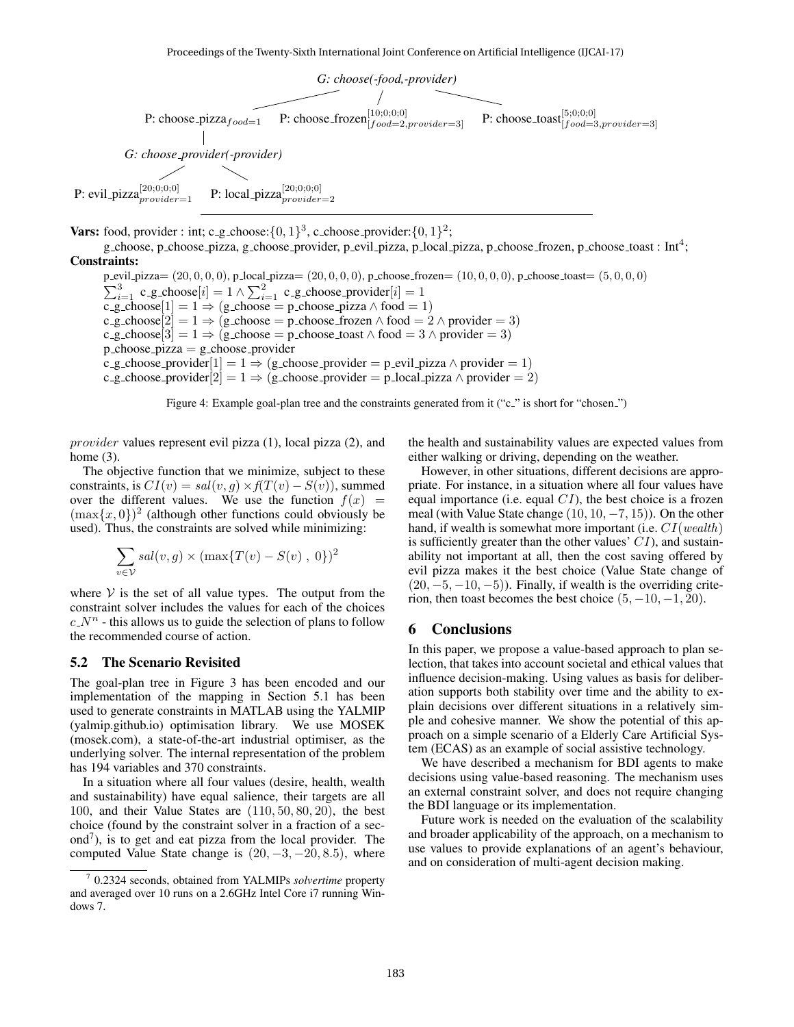

Vars: food, provider : int; c\_g\_choose: $\{0,1\}^3$ , c\_choose\_provider: $\{0,1\}^2$ ;

g choose, p choose pizza, g choose provider, p evil pizza, p local pizza, p choose frozen, p choose toast : Int<sup>4</sup>; Constraints:

 $p\_eval\_pizza=(20,0,0,0)$ ,  $p\_local\_pizza=(20,0,0,0)$ ,  $p\_choose\_frozen=(10,0,0,0)$ ,  $p\_choose\_toast=(5,0,0,0)$  $\sum_{i=1}^{3}$  c g choose $[i] = 1 \wedge \sum_{i=1}^{2}$  c g choose provider $[i] = 1$ c\_g\_choose[1] = 1  $\Rightarrow$  (g\_choose = p\_choose\_pizza  $\land$  food = 1) c\_g\_choose[2] = 1  $\Rightarrow$  (g\_choose = p\_choose\_frozen  $\land$  food = 2  $\land$  provider = 3)  $c.g.\text{choose}[3] = 1 \Rightarrow (g.\text{choose} = p.\text{choose} = 3 \land p \text{rowider} = 3)$  $p_{\text{c}}$ hoose\_pizza = g\_choose\_provider c\_g\_choose\_provider $[1] = 1 \Rightarrow (g\text{-choose-provider} = p\text{-eval_pizza} \land \text{provider} = 1)$ c g choose provider $[2] = 1 \Rightarrow (g \text{-choose-provider} = p \text{-local-pizza } \wedge \text{provider} = 2)$ 

Figure 4: Example goal-plan tree and the constraints generated from it ("c\_" is short for "chosen\_")

provider values represent evil pizza (1), local pizza (2), and home (3).

The objective function that we minimize, subject to these constraints, is  $CI(v) = sal(v, g) \times f(T(v) - S(v))$ , summed over the different values. We use the function  $f(x) =$  $(\max\{x, 0\})^2$  (although other functions could obviously be used). Thus, the constraints are solved while minimizing:

$$
\sum_{v \in V} sal(v, g) \times (\max\{T(v) - S(v), 0\})^2
$$

where  $V$  is the set of all value types. The output from the constraint solver includes the values for each of the choices  $c_{n}N^{n}$  - this allows us to guide the selection of plans to follow the recommended course of action.

#### 5.2 The Scenario Revisited

The goal-plan tree in Figure 3 has been encoded and our implementation of the mapping in Section 5.1 has been used to generate constraints in MATLAB using the YALMIP (yalmip.github.io) optimisation library. We use MOSEK (mosek.com), a state-of-the-art industrial optimiser, as the underlying solver. The internal representation of the problem has 194 variables and 370 constraints.

In a situation where all four values (desire, health, wealth and sustainability) have equal salience, their targets are all 100, and their Value States are (110, 50, 80, 20), the best choice (found by the constraint solver in a fraction of a second<sup>7</sup>), is to get and eat pizza from the local provider. The computed Value State change is  $(20, -3, -20, 8.5)$ , where the health and sustainability values are expected values from either walking or driving, depending on the weather.

However, in other situations, different decisions are appropriate. For instance, in a situation where all four values have equal importance (i.e. equal  $CI$ ), the best choice is a frozen meal (with Value State change  $(10, 10, -7, 15)$ ). On the other hand, if wealth is somewhat more important (i.e.  $CI(wealth)$ ) is sufficiently greater than the other values'  $CI$ ), and sustainability not important at all, then the cost saving offered by evil pizza makes it the best choice (Value State change of  $(20, -5, -10, -5)$ ). Finally, if wealth is the overriding criterion, then toast becomes the best choice  $(5, -10, -1, 20)$ .

# 6 Conclusions

In this paper, we propose a value-based approach to plan selection, that takes into account societal and ethical values that influence decision-making. Using values as basis for deliberation supports both stability over time and the ability to explain decisions over different situations in a relatively simple and cohesive manner. We show the potential of this approach on a simple scenario of a Elderly Care Artificial System (ECAS) as an example of social assistive technology.

We have described a mechanism for BDI agents to make decisions using value-based reasoning. The mechanism uses an external constraint solver, and does not require changing the BDI language or its implementation.

Future work is needed on the evaluation of the scalability and broader applicability of the approach, on a mechanism to use values to provide explanations of an agent's behaviour, and on consideration of multi-agent decision making.

<sup>7</sup> 0.2324 seconds, obtained from YALMIPs *solvertime* property and averaged over 10 runs on a 2.6GHz Intel Core i7 running Windows 7.